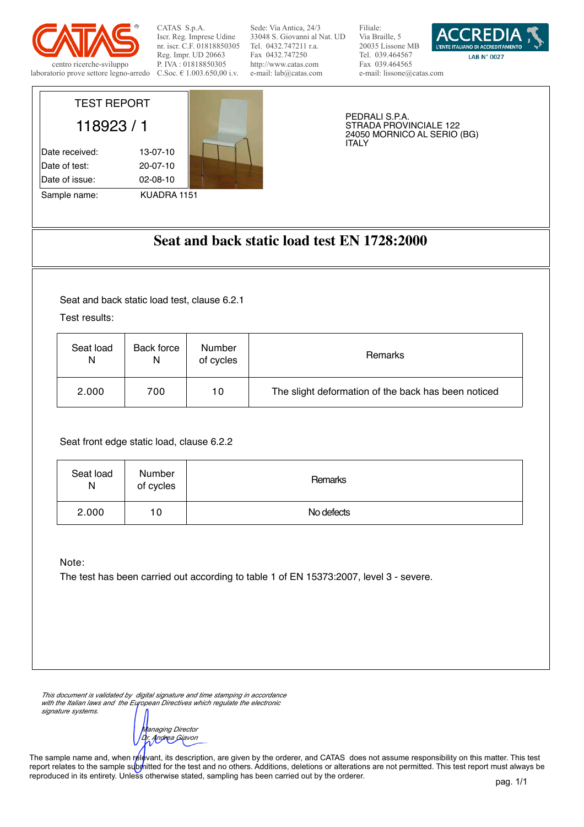

TEST REPORT

118923 / 1

Date received: 13-07-10 Date of test: 20-07-10 Date of issue: 02-08-10

Sample name: KUADRA 1151

CATAS S.p.A. Iscr. Reg. Imprese Udine nr. iscr. C.F. 01818850305 Reg. Impr. UD 20663 P. IVA : 01818850305 C.Soc. € 1.003.650,00 i.v.

Sede: Via Antica, 24/3 33048 S. Giovanni al Nat. UD Tel. 0432.747211 r.a. Fax 0432.747250 http://www.catas.com e-mail: lab@catas.com

Filiale: Via Braille, 5 20035 Lissone MB Tel. 039.464567 Fax 039.464565 e-mail: lissone@catas.com



PEDRALI S.P.A. STRADA PROVINCIALE 122 24050 MORNICO AL SERIO (BG) ITALY

## **Seat and back static load test EN 1728:2000**

Seat and back static load test, clause 6.2.1

Test results:

| Seat load | Back force | Number    | Remarks                                             |
|-----------|------------|-----------|-----------------------------------------------------|
| N         | N          | of cycles |                                                     |
| 2.000     | 700        | 10        | The slight deformation of the back has been noticed |

Seat front edge static load, clause 6.2.2

| Seat load<br>N | Number<br>of cycles | Remarks    |
|----------------|---------------------|------------|
| 2.000          | 10                  | No defects |

Note:

The test has been carried out according to table 1 of EN 15373:2007, level 3 - severe.

*This document is validated by digital signature and time stamping in accordance with the Italian laws and the European Directives which regulate the electronic signature systems.*

*Managing Director Dr. Andrea Giavon*

The sample name and, when relevant, its description, are given by the orderer, and CATAS does not assume responsibility on this matter. This test report relates to the sample submitted for the test and no others. Additions, deletions or alterations are not permitted. This test report must always be reproduced in its entirety. Unless otherwise stated, sampling has been carried out by the orderer.